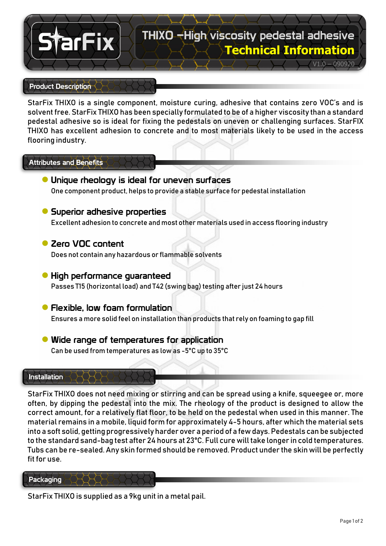# **Technical Information** THIXO –High viscosity pedestal adhesive

## $V1.0 - 090920$

#### Product Description

arFix

StarFix THIXO is a single component, moisture curing, adhesive that contains zero VOC's and is solvent free. StarFix THIXO has been specially formulated to be of a higher viscosity than a standard pedestal adhesive so is ideal for fixing the pedestals on uneven or challenging surfaces. StarFIX THIXO has excellent adhesion to concrete and to most materials likely to be used in the access flooring industry.

#### Attributes and Benefits

**●** Unique rheology is ideal for uneven surfaces One component product, helps to provide a stable surface for pedestal installation

#### **●** Superior adhesive properties

Excellent adhesion to concrete and most other materials used in access flooring industry

# **●** Zero VOC content

Does not contain any hazardous or flammable solvents

# **●** High performance guaranteed Passes T15 (horizontal load) and T42 (swing bag) testing after just 24 hours

# **●** Flexible, low foam formulation Ensures a more solid feel on installation than products that rely on foaming to gap fill

**●** Wide range of temperatures for application Can be used from temperatures as low as -5°C up to 35°C

#### Installation

StarFix THIXO does not need mixing or stirring and can be spread using a knife, squeegee or, more often, by dipping the pedestal into the mix. The rheology of the product is designed to allow the correct amount, for a relatively flat floor, to be held on the pedestal when used in this manner. The material remains in a mobile, liquid form for approximately 4-5 hours, after which the material sets into a soft solid, getting progressively harder over a period of a few days. Pedestals can be subjected to the standard sand-bag test after 24 hours at 23°C. Full cure will take longer in cold temperatures. Tubs can be re-sealed. Any skin formed should be removed. Product under the skin will be perfectly fit for use.

#### **Packaging**

StarFix THIXO is supplied as a 9kg unit in a metal pail.